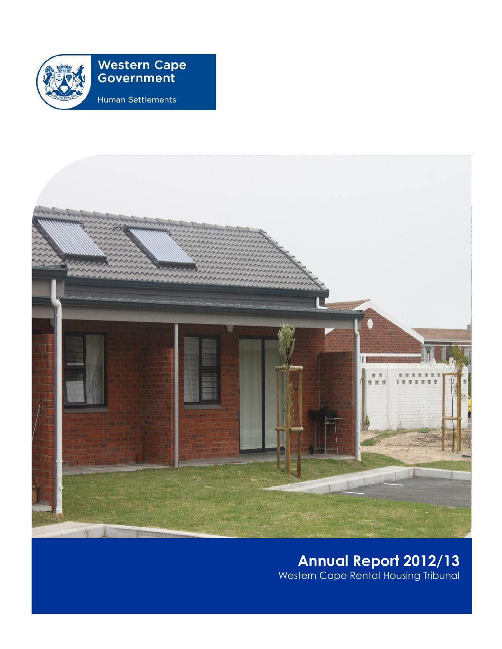

# **Western Cape<br>Government**

Human Settlements



## **Annual Report 2012/13** Western Cape Rental Housing Tribunal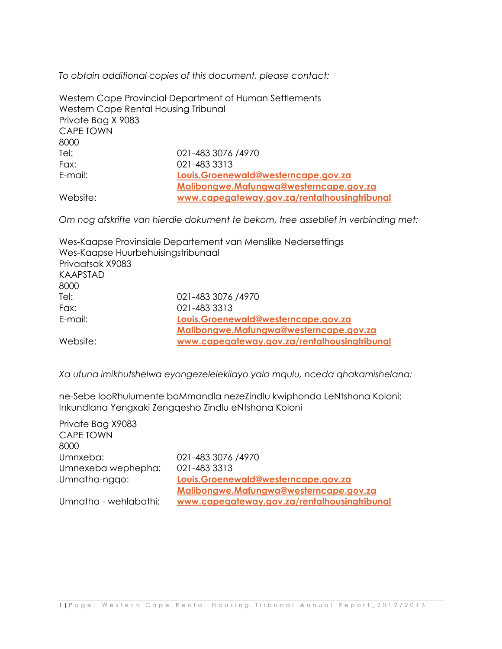*To obtain additional copies of this document, please contact:*

|                                      | Western Cape Provincial Department of Human Settlements |
|--------------------------------------|---------------------------------------------------------|
| Western Cape Rental Housing Tribunal |                                                         |
| Private Bag X 9083                   |                                                         |
| <b>CAPE TOWN</b>                     |                                                         |
| 8000                                 |                                                         |
| Tel:                                 | 021-483 3076 /4970                                      |
| Fax:                                 | 021-483 3313                                            |
| E-mail:                              | Louis.Groenewald@westerncape.gov.za                     |
|                                      | Malibongwe.Mafungwa@westerncape.gov.za                  |
| Website:                             | www.capegateway.gov.za/rentalhousingtribunal            |

*Om nog afskrifte van hierdie dokument te bekom, tree asseblief in verbinding met:*

|                                    | Wes-Kaapse Provinsiale Departement van Menslike Nedersettings |
|------------------------------------|---------------------------------------------------------------|
| Wes-Kaapse Huurbehuisingstribunaal |                                                               |
| Privaatsak X9083                   |                                                               |
| <b>KAAPSTAD</b>                    |                                                               |
| 8000                               |                                                               |
| Tel:                               | 021-483 3076 /4970                                            |
| Fax:                               | 021-483 3313                                                  |
| E-mail:                            | Louis.Groenewald@westerncape.gov.za                           |
|                                    | Malibongwe.Mafungwa@westerncape.gov.za                        |
| Website:                           | www.capegateway.gov.za/rentalhousingtribunal                  |

*Xa ufuna imikhutshelwa eyongezelelekilayo yalo mqulu, nceda qhakamishelana:*

ne-Sebe looRhulumente boMmandla nezeZindlu kwiphondo LeNtshona Koloni: Inkundlana Yengxaki Zengqesho Zindlu eNtshona Koloni

| Private Bag X9083     |                                              |
|-----------------------|----------------------------------------------|
| <b>CAPE TOWN</b>      |                                              |
| 8000                  |                                              |
| Umnxeba:              | 021-483 3076 /4970                           |
| Umnexeba wephepha:    | 021-483 3313                                 |
| Umnatha-ngqo:         | Louis.Groenewald@westerncape.gov.za          |
|                       | Malibongwe.Mafungwa@westerncape.gov.za       |
| Umnatha - wehlabathi: | www.capegateway.gov.za/rentalhousingtribunal |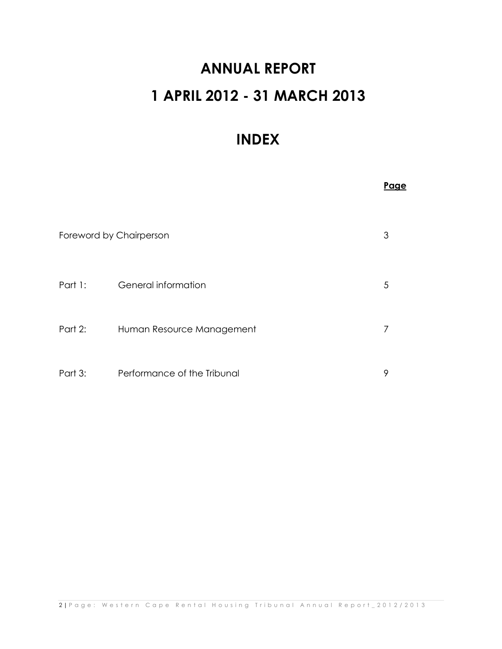## **ANNUAL REPORT 1 APRIL 2012 - 31 MARCH 2013**

## **INDEX**

|                         |                             | <u>Page</u> |
|-------------------------|-----------------------------|-------------|
| Foreword by Chairperson |                             | 3           |
| Part 1:                 | General information         | 5           |
| Part 2:                 | Human Resource Management   | 7           |
| Part 3:                 | Performance of the Tribunal | 9           |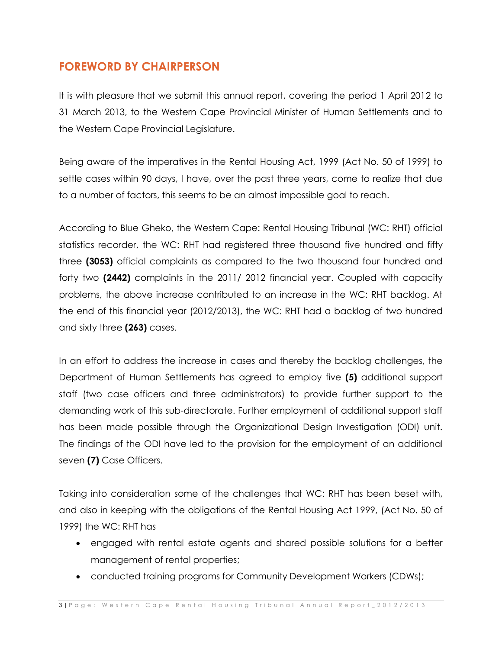## **FOREWORD BY CHAIRPERSON**

It is with pleasure that we submit this annual report, covering the period 1 April 2012 to 31 March 2013, to the Western Cape Provincial Minister of Human Settlements and to the Western Cape Provincial Legislature.

Being aware of the imperatives in the Rental Housing Act, 1999 (Act No. 50 of 1999) to settle cases within 90 days, I have, over the past three years, come to realize that due to a number of factors, this seems to be an almost impossible goal to reach.

According to Blue Gheko, the Western Cape: Rental Housing Tribunal (WC: RHT) official statistics recorder, the WC: RHT had registered three thousand five hundred and fifty three **(3053)** official complaints as compared to the two thousand four hundred and forty two **(2442)** complaints in the 2011/ 2012 financial year. Coupled with capacity problems, the above increase contributed to an increase in the WC: RHT backlog. At the end of this financial year (2012/2013), the WC: RHT had a backlog of two hundred and sixty three **(263)** cases.

In an effort to address the increase in cases and thereby the backlog challenges, the Department of Human Settlements has agreed to employ five **(5)** additional support staff (two case officers and three administrators) to provide further support to the demanding work of this sub-directorate. Further employment of additional support staff has been made possible through the Organizational Design Investigation (ODI) unit. The findings of the ODI have led to the provision for the employment of an additional seven **(7)** Case Officers.

Taking into consideration some of the challenges that WC: RHT has been beset with, and also in keeping with the obligations of the Rental Housing Act 1999, (Act No. 50 of 1999) the WC: RHT has

- engaged with rental estate agents and shared possible solutions for a better management of rental properties;
- conducted training programs for Community Development Workers (CDWs);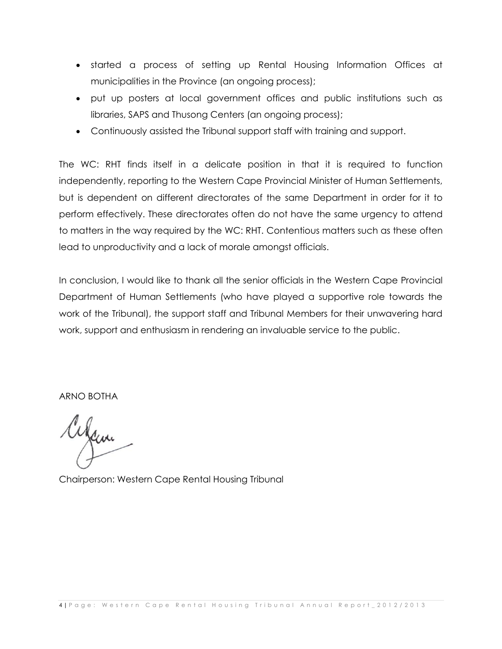- started a process of setting up Rental Housing Information Offices at municipalities in the Province (an ongoing process);
- put up posters at local government offices and public institutions such as libraries, SAPS and Thusong Centers (an ongoing process);
- Continuously assisted the Tribunal support staff with training and support.

The WC: RHT finds itself in a delicate position in that it is required to function independently, reporting to the Western Cape Provincial Minister of Human Settlements, but is dependent on different directorates of the same Department in order for it to perform effectively. These directorates often do not have the same urgency to attend to matters in the way required by the WC: RHT. Contentious matters such as these often lead to unproductivity and a lack of morale amongst officials.

In conclusion, I would like to thank all the senior officials in the Western Cape Provincial Department of Human Settlements (who have played a supportive role towards the work of the Tribunal), the support staff and Tribunal Members for their unwavering hard work, support and enthusiasm in rendering an invaluable service to the public.

ARNO BOTHA

aram

Chairperson: Western Cape Rental Housing Tribunal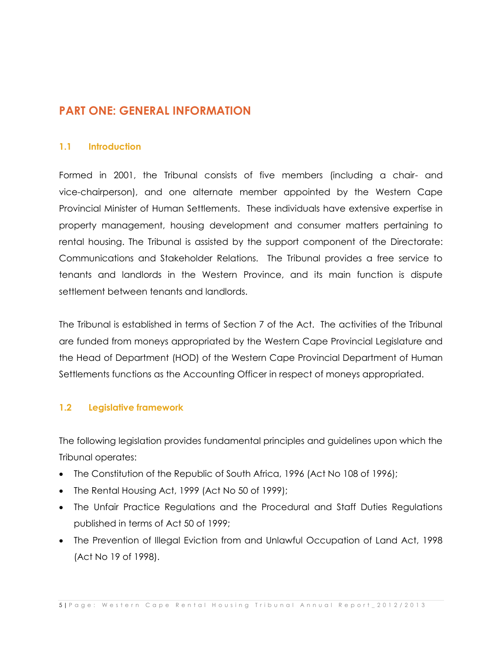## **PART ONE: GENERAL INFORMATION**

## **1.1 Introduction**

Formed in 2001, the Tribunal consists of five members (including a chair- and vice-chairperson), and one alternate member appointed by the Western Cape Provincial Minister of Human Settlements. These individuals have extensive expertise in property management, housing development and consumer matters pertaining to rental housing. The Tribunal is assisted by the support component of the Directorate: Communications and Stakeholder Relations. The Tribunal provides a free service to tenants and landlords in the Western Province, and its main function is dispute settlement between tenants and landlords.

The Tribunal is established in terms of Section 7 of the Act. The activities of the Tribunal are funded from moneys appropriated by the Western Cape Provincial Legislature and the Head of Department (HOD) of the Western Cape Provincial Department of Human Settlements functions as the Accounting Officer in respect of moneys appropriated.

## **1.2 Legislative framework**

The following legislation provides fundamental principles and guidelines upon which the Tribunal operates:

- The Constitution of the Republic of South Africa, 1996 (Act No 108 of 1996);
- The Rental Housing Act, 1999 (Act No 50 of 1999);
- The Unfair Practice Regulations and the Procedural and Staff Duties Regulations published in terms of Act 50 of 1999;
- The Prevention of Illegal Eviction from and Unlawful Occupation of Land Act, 1998 (Act No 19 of 1998).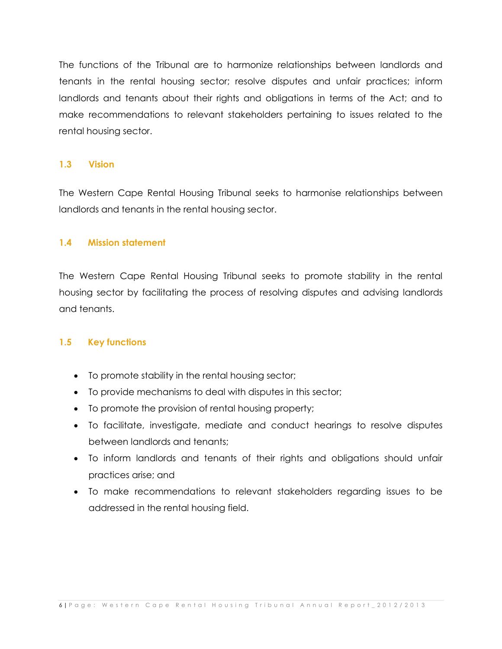The functions of the Tribunal are to harmonize relationships between landlords and tenants in the rental housing sector; resolve disputes and unfair practices; inform landlords and tenants about their rights and obligations in terms of the Act; and to make recommendations to relevant stakeholders pertaining to issues related to the rental housing sector.

## **1.3 Vision**

The Western Cape Rental Housing Tribunal seeks to harmonise relationships between landlords and tenants in the rental housing sector.

## **1.4 Mission statement**

The Western Cape Rental Housing Tribunal seeks to promote stability in the rental housing sector by facilitating the process of resolving disputes and advising landlords and tenants.

## **1.5 Key functions**

- To promote stability in the rental housing sector;
- To provide mechanisms to deal with disputes in this sector;
- To promote the provision of rental housing property;
- To facilitate, investigate, mediate and conduct hearings to resolve disputes between landlords and tenants;
- To inform landlords and tenants of their rights and obligations should unfair practices arise; and
- To make recommendations to relevant stakeholders regarding issues to be addressed in the rental housing field.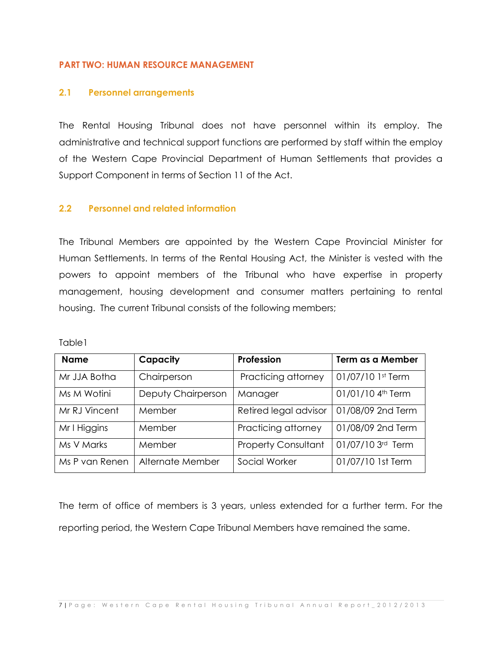#### **PART TWO: HUMAN RESOURCE MANAGEMENT**

#### **2.1 Personnel arrangements**

The Rental Housing Tribunal does not have personnel within its employ. The administrative and technical support functions are performed by staff within the employ of the Western Cape Provincial Department of Human Settlements that provides a Support Component in terms of Section 11 of the Act.

## **2.2 Personnel and related information**

The Tribunal Members are appointed by the Western Cape Provincial Minister for Human Settlements. In terms of the Rental Housing Act, the Minister is vested with the powers to appoint members of the Tribunal who have expertise in property management, housing development and consumer matters pertaining to rental housing. The current Tribunal consists of the following members;

Table1

| <b>Name</b>    | Capacity           | Profession                 | Term as a Member              |
|----------------|--------------------|----------------------------|-------------------------------|
| Mr JJA Botha   | Chairperson        | Practicing attorney        | 01/07/10 1st Term             |
| Ms M Wotini    | Deputy Chairperson | Manager                    | 01/01/10 4 <sup>th</sup> Term |
| Mr RJ Vincent  | Member             | Retired legal advisor      | 01/08/09 2nd Term             |
| Mr I Higgins   | Member             | Practicing attorney        | 01/08/09 2nd Term             |
| Ms V Marks     | Member             | <b>Property Consultant</b> | 01/07/10 3rd Term             |
| Ms P van Renen | Alternate Member   | Social Worker              | 01/07/10 1st Term             |

The term of office of members is 3 years, unless extended for a further term. For the reporting period, the Western Cape Tribunal Members have remained the same.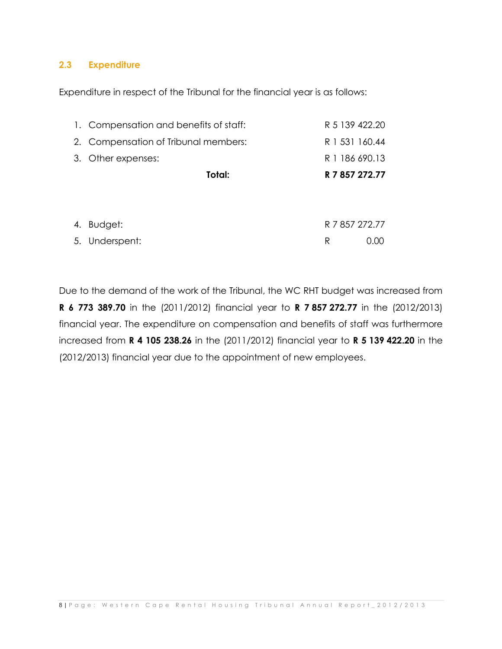## **2.3 Expenditure**

Expenditure in respect of the Tribunal for the financial year is as follows:

| 1. Compensation and benefits of staff: | R 5 139 422.20 |
|----------------------------------------|----------------|
| 2. Compensation of Tribunal members:   | R 1 531 160.44 |
| 3. Other expenses:                     | R 1 186 690.13 |
| Total:                                 | R 7 857 272.77 |
|                                        |                |
| 4 Budget <sup>+</sup>                  | R 7 857 272 77 |

| 1. DUUYU1.     |  | 11 / 00/ 2/ 2.// |
|----------------|--|------------------|
| 5. Underspent: |  | 0.00             |

Due to the demand of the work of the Tribunal, the WC RHT budget was increased from **R 6 773 389.70** in the (2011/2012) financial year to **R 7 857 272.77** in the (2012/2013) financial year. The expenditure on compensation and benefits of staff was furthermore increased from **R 4 105 238.26** in the (2011/2012) financial year to **R 5 139 422.20** in the (2012/2013) financial year due to the appointment of new employees.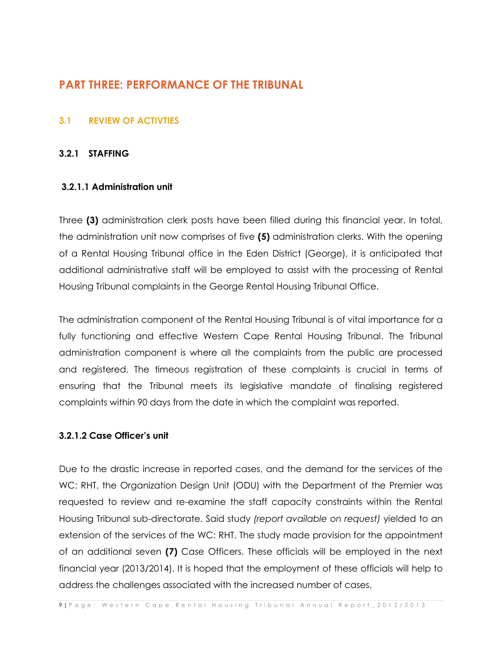## **PART THREE: PERFORMANCE OF THE TRIBUNAL**

## **3.1 REVIEW OF ACTIVTIES**

## **3.2.1 STAFFING**

## **3.2.1.1 Administration unit**

Three **(3)** administration clerk posts have been filled during this financial year. In total, the administration unit now comprises of five **(5)** administration clerks. With the opening of a Rental Housing Tribunal office in the Eden District (George), it is anticipated that additional administrative staff will be employed to assist with the processing of Rental Housing Tribunal complaints in the George Rental Housing Tribunal Office.

The administration component of the Rental Housing Tribunal is of vital importance for a fully functioning and effective Western Cape Rental Housing Tribunal. The Tribunal administration component is where all the complaints from the public are processed and registered. The timeous registration of these complaints is crucial in terms of ensuring that the Tribunal meets its legislative mandate of finalising registered complaints within 90 days from the date in which the complaint was reported.

## **3.2.1.2 Case Officer's unit**

Due to the drastic increase in reported cases, and the demand for the services of the WC: RHT, the Organization Design Unit (ODU) with the Department of the Premier was requested to review and re-examine the staff capacity constraints within the Rental Housing Tribunal sub-directorate. Said study *(report available on request)* yielded to an extension of the services of the WC: RHT. The study made provision for the appointment of an additional seven **(7)** Case Officers. These officials will be employed in the next financial year (2013/2014). It is hoped that the employment of these officials will help to address the challenges associated with the increased number of cases.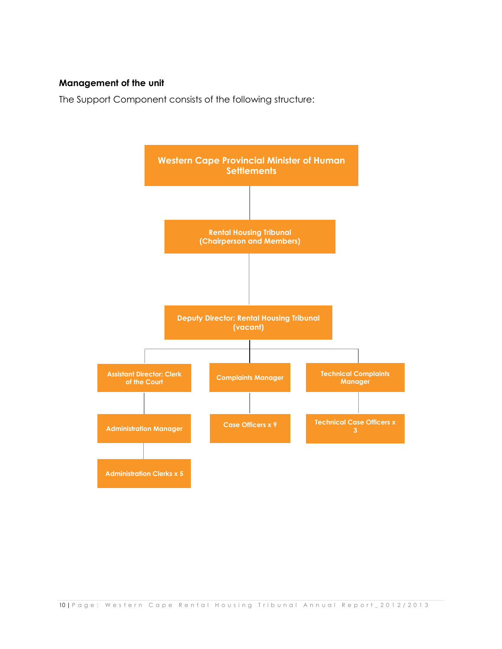## **Management of the unit**

The Support Component consists of the following structure:

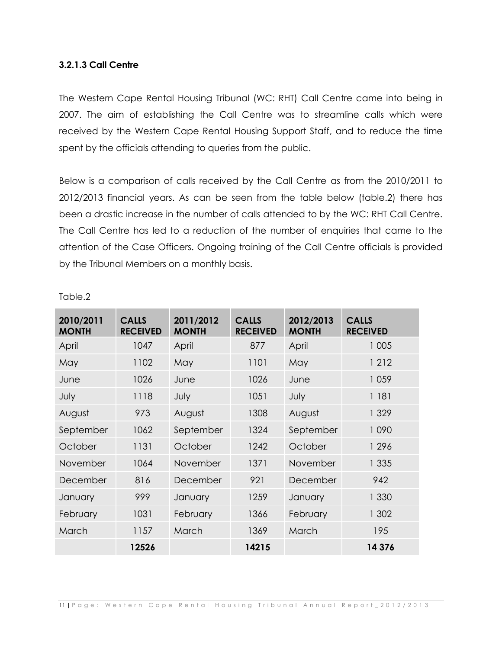## **3.2.1.3 Call Centre**

The Western Cape Rental Housing Tribunal (WC: RHT) Call Centre came into being in 2007. The aim of establishing the Call Centre was to streamline calls which were received by the Western Cape Rental Housing Support Staff, and to reduce the time spent by the officials attending to queries from the public.

Below is a comparison of calls received by the Call Centre as from the 2010/2011 to 2012/2013 financial years. As can be seen from the table below (table.2) there has been a drastic increase in the number of calls attended to by the WC: RHT Call Centre. The Call Centre has led to a reduction of the number of enquiries that came to the attention of the Case Officers. Ongoing training of the Call Centre officials is provided by the Tribunal Members on a monthly basis.

| 2010/2011<br><b>MONTH</b> | <b>CALLS</b><br><b>RECEIVED</b> | 2011/2012<br><b>MONTH</b> | <b>CALLS</b><br><b>RECEIVED</b> | 2012/2013<br><b>MONTH</b> | <b>CALLS</b><br><b>RECEIVED</b> |
|---------------------------|---------------------------------|---------------------------|---------------------------------|---------------------------|---------------------------------|
| April                     | 1047                            | April                     | 877                             | April                     | 1 0 0 5                         |
| May                       | 1102                            | May                       | 1101                            | May                       | 1 2 1 2                         |
| June                      | 1026                            | June                      | 1026                            | June                      | 1059                            |
| July                      | 1118                            | July                      | 1051                            | July                      | 1 181                           |
| August                    | 973                             | August                    | 1308                            | August                    | 1 3 2 9                         |
| September                 | 1062                            | September                 | 1324                            | September                 | 1090                            |
| October                   | 1131                            | October                   | 1242                            | October                   | 1 2 9 6                         |
| November                  | 1064                            | <b>November</b>           | 1371                            | November                  | 1 3 3 5                         |
| December                  | 816                             | December                  | 921                             | December                  | 942                             |
| January                   | 999                             | January                   | 1259                            | January                   | 1 330                           |
| February                  | 1031                            | February                  | 1366                            | February                  | 1 302                           |
| March                     | 1157                            | March                     | 1369                            | March                     | 195                             |
|                           | 12526                           |                           | 14215                           |                           | 14 376                          |

#### Table.2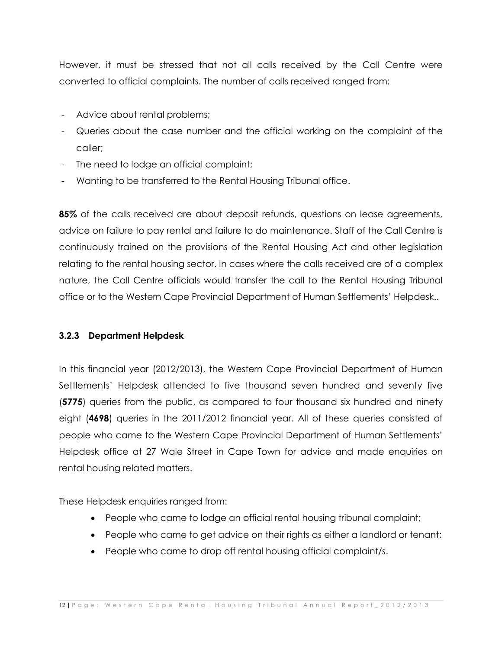However, it must be stressed that not all calls received by the Call Centre were converted to official complaints. The number of calls received ranged from:

- Advice about rental problems;
- Queries about the case number and the official working on the complaint of the caller;
- The need to lodge an official complaint;
- Wanting to be transferred to the Rental Housing Tribunal office.

**85%** of the calls received are about deposit refunds, questions on lease agreements, advice on failure to pay rental and failure to do maintenance. Staff of the Call Centre is continuously trained on the provisions of the Rental Housing Act and other legislation relating to the rental housing sector. In cases where the calls received are of a complex nature, the Call Centre officials would transfer the call to the Rental Housing Tribunal office or to the Western Cape Provincial Department of Human Settlements' Helpdesk..

## **3.2.3 Department Helpdesk**

In this financial year (2012/2013), the Western Cape Provincial Department of Human Settlements' Helpdesk attended to five thousand seven hundred and seventy five (**5775**) queries from the public, as compared to four thousand six hundred and ninety eight (**4698**) queries in the 2011/2012 financial year. All of these queries consisted of people who came to the Western Cape Provincial Department of Human Settlements' Helpdesk office at 27 Wale Street in Cape Town for advice and made enquiries on rental housing related matters.

These Helpdesk enquiries ranged from:

- People who came to lodge an official rental housing tribunal complaint;
- People who came to get advice on their rights as either a landlord or tenant;
- People who came to drop off rental housing official complaint/s.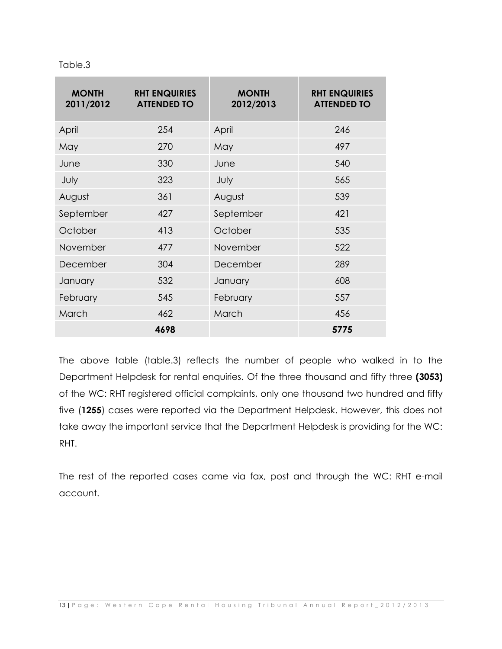| Table.3 |  |  |
|---------|--|--|
|         |  |  |

| <b>MONTH</b><br>2011/2012 | <b>RHT ENQUIRIES</b><br><b>ATTENDED TO</b> | <b>MONTH</b><br>2012/2013 | <b>RHT ENQUIRIES</b><br><b>ATTENDED TO</b> |
|---------------------------|--------------------------------------------|---------------------------|--------------------------------------------|
| April                     | 254                                        | April                     | 246                                        |
| May                       | 270                                        | May                       | 497                                        |
| June                      | 330                                        | June                      | 540                                        |
| July                      | 323                                        | July                      | 565                                        |
| August                    | 361                                        | August                    | 539                                        |
| September                 | 427                                        | September                 | 421                                        |
| October                   | 413                                        | October                   | 535                                        |
| November                  | 477                                        | November                  | 522                                        |
| December                  | 304                                        | December                  | 289                                        |
| January                   | 532                                        | January                   | 608                                        |
| February                  | 545                                        | February                  | 557                                        |
| March                     | 462                                        | March                     | 456                                        |
|                           | 4698                                       |                           | 5775                                       |

The above table (table.3) reflects the number of people who walked in to the Department Helpdesk for rental enquiries. Of the three thousand and fifty three **(3053)** of the WC: RHT registered official complaints, only one thousand two hundred and fifty five (**1255**) cases were reported via the Department Helpdesk. However, this does not take away the important service that the Department Helpdesk is providing for the WC: RHT.

The rest of the reported cases came via fax, post and through the WC: RHT e-mail account.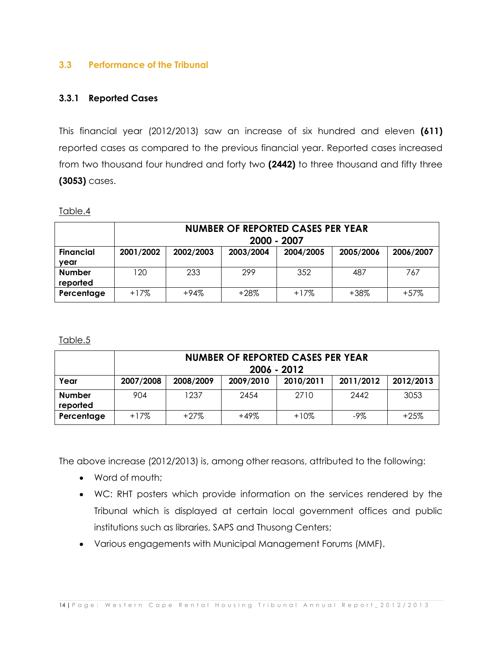## **3.3 Performance of the Tribunal**

## **3.3.1 Reported Cases**

This financial year (2012/2013) saw an increase of six hundred and eleven **(611)** reported cases as compared to the previous financial year. Reported cases increased from two thousand four hundred and forty two **(2442)** to three thousand and fifty three **(3053)** cases.

Table.4

|                           | <b>NUMBER OF REPORTED CASES PER YEAR</b><br>2000 - 2007 |           |           |           |           |           |
|---------------------------|---------------------------------------------------------|-----------|-----------|-----------|-----------|-----------|
| <b>Financial</b><br>year  | 2001/2002                                               | 2002/2003 | 2003/2004 | 2004/2005 | 2005/2006 | 2006/2007 |
| <b>Number</b><br>reported | 120                                                     | 233       | 299       | 352       | 487       | 767       |
| Percentage                | $+17\%$                                                 | $+94%$    | $+28\%$   | $+17%$    | $+38%$    | $+57\%$   |

Table.5

|                           | <b>NUMBER OF REPORTED CASES PER YEAR</b><br>2006 - 2012 |           |           |           |           |           |
|---------------------------|---------------------------------------------------------|-----------|-----------|-----------|-----------|-----------|
| Year                      | 2007/2008                                               | 2008/2009 | 2009/2010 | 2010/2011 | 2011/2012 | 2012/2013 |
| <b>Number</b><br>reported | 904                                                     | 1237      | 2454      | 2710      | 2442      | 3053      |
| Percentage                | $+17%$                                                  | $+27\%$   | $+49%$    | $+10%$    | $-9\%$    | $+25%$    |

The above increase (2012/2013) is, among other reasons, attributed to the following:

- Word of mouth;
- WC: RHT posters which provide information on the services rendered by the Tribunal which is displayed at certain local government offices and public institutions such as libraries, SAPS and Thusong Centers;
- Various engagements with Municipal Management Forums (MMF).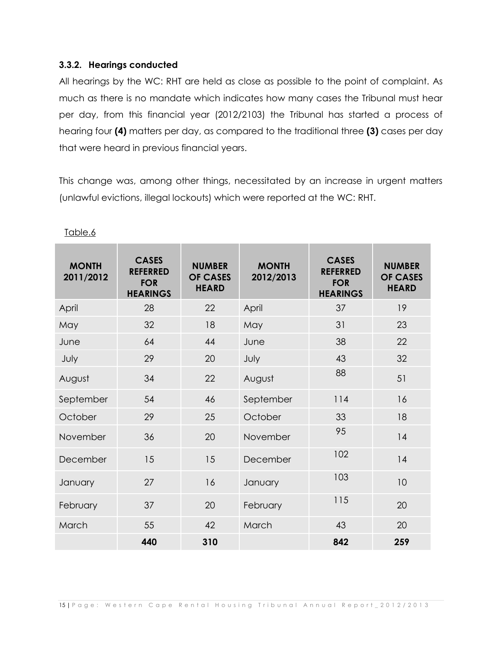## **3.3.2. Hearings conducted**

All hearings by the WC: RHT are held as close as possible to the point of complaint. As much as there is no mandate which indicates how many cases the Tribunal must hear per day, from this financial year (2012/2103) the Tribunal has started a process of hearing four **(4)** matters per day, as compared to the traditional three **(3)** cases per day that were heard in previous financial years.

This change was, among other things, necessitated by an increase in urgent matters (unlawful evictions, illegal lockouts) which were reported at the WC: RHT.

| <b>MONTH</b><br>2011/2012 | <b>CASES</b><br><b>REFERRED</b><br><b>FOR</b><br><b>HEARINGS</b> | <b>NUMBER</b><br><b>OF CASES</b><br><b>HEARD</b> | <b>MONTH</b><br>2012/2013 | <b>CASES</b><br><b>REFERRED</b><br><b>FOR</b><br><b>HEARINGS</b> | <b>NUMBER</b><br><b>OF CASES</b><br><b>HEARD</b> |
|---------------------------|------------------------------------------------------------------|--------------------------------------------------|---------------------------|------------------------------------------------------------------|--------------------------------------------------|
| April                     | 28                                                               | 22                                               | April                     | 37                                                               | 19                                               |
| May                       | 32                                                               | 18                                               | May                       | 31                                                               | 23                                               |
| June                      | 64                                                               | 44                                               | June                      | 38                                                               | 22                                               |
| July                      | 29                                                               | 20                                               | July                      | 43                                                               | 32                                               |
| August                    | 34                                                               | 22                                               | August                    | 88                                                               | 51                                               |
| September                 | 54                                                               | 46                                               | September                 | 114                                                              | 16                                               |
| October                   | 29                                                               | 25                                               | October                   | 33                                                               | 18                                               |
| November                  | 36                                                               | 20                                               | November                  | 95                                                               | 14                                               |
| December                  | 15                                                               | 15                                               | December                  | 102                                                              | 14                                               |
| January                   | 27                                                               | 16                                               | January                   | 103                                                              | 10                                               |
| February                  | 37                                                               | 20                                               | February                  | 115                                                              | 20                                               |
| March                     | 55                                                               | 42                                               | March                     | 43                                                               | 20                                               |
|                           | 440                                                              | 310                                              |                           | 842                                                              | 259                                              |

Table.6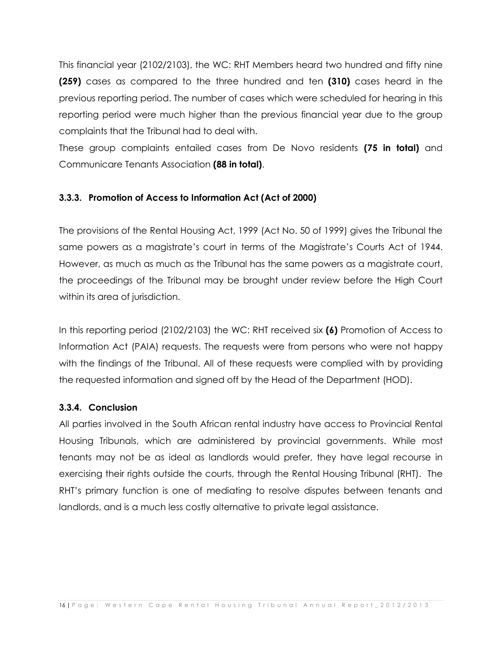This financial year (2102/2103), the WC: RHT Members heard two hundred and fifty nine **(259)** cases as compared to the three hundred and ten **(310)** cases heard in the previous reporting period. The number of cases which were scheduled for hearing in this reporting period were much higher than the previous financial year due to the group complaints that the Tribunal had to deal with.

These group complaints entailed cases from De Novo residents **(75 in total)** and Communicare Tenants Association **(88 in total)**.

## **3.3.3. Promotion of Access to Information Act (Act of 2000)**

The provisions of the Rental Housing Act, 1999 (Act No. 50 of 1999) gives the Tribunal the same powers as a magistrate's court in terms of the Magistrate's Courts Act of 1944. However, as much as much as the Tribunal has the same powers as a magistrate court, the proceedings of the Tribunal may be brought under review before the High Court within its area of jurisdiction.

In this reporting period (2102/2103) the WC: RHT received six **(6)** Promotion of Access to Information Act (PAIA) requests. The requests were from persons who were not happy with the findings of the Tribunal. All of these requests were complied with by providing the requested information and signed off by the Head of the Department (HOD).

## **3.3.4. Conclusion**

All parties involved in the South African rental industry have access to Provincial Rental Housing Tribunals, which are administered by provincial governments. While most tenants may not be as ideal as landlords would prefer, they have legal recourse in exercising their rights outside the courts, through the Rental Housing Tribunal (RHT). The RHT's primary function is one of mediating to resolve disputes between tenants and landlords, and is a much less costly alternative to private legal assistance.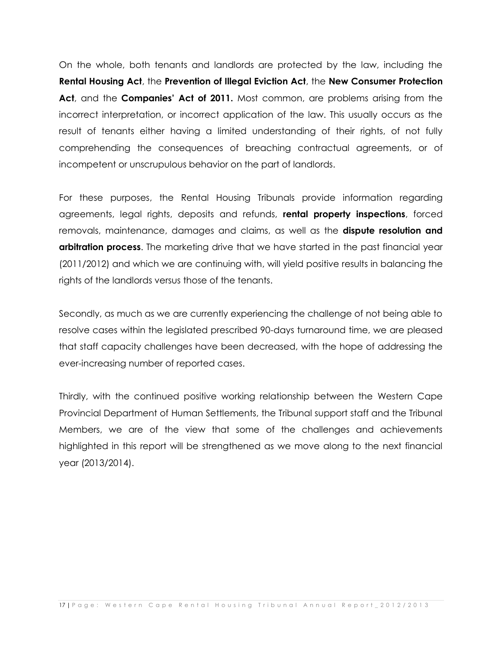On the whole, both tenants and landlords are protected by the law, including the **Rental Housing Act**, the **Prevention of Illegal Eviction Act**, the **New Consumer Protection Act**, and the **Companies' Act of 2011.** Most common, are problems arising from the incorrect interpretation, or incorrect application of the law. This usually occurs as the result of tenants either having a limited understanding of their rights, of not fully comprehending the consequences of breaching contractual agreements, or of incompetent or unscrupulous behavior on the part of landlords.

For these purposes, the Rental Housing Tribunals provide information regarding agreements, legal rights, deposits and refunds, **rental property inspections**, forced removals, maintenance, damages and claims, as well as the **dispute resolution and arbitration process**. The marketing drive that we have started in the past financial year (2011/2012) and which we are continuing with, will yield positive results in balancing the rights of the landlords versus those of the tenants.

Secondly, as much as we are currently experiencing the challenge of not being able to resolve cases within the legislated prescribed 90-days turnaround time, we are pleased that staff capacity challenges have been decreased, with the hope of addressing the ever-increasing number of reported cases.

Thirdly, with the continued positive working relationship between the Western Cape Provincial Department of Human Settlements, the Tribunal support staff and the Tribunal Members, we are of the view that some of the challenges and achievements highlighted in this report will be strengthened as we move along to the next financial year (2013/2014).